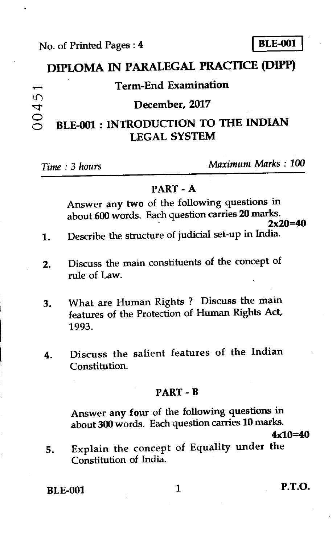# **DIPLOMA IN PARALEGAL PRACTICE (DIPP)**

### `1••. <sup>4</sup>**Term-End Examination**

### **December, 2017**

# 0045 BLE-001 : INTRODUCTION TO THE INDIAN **LEGAL SYSTEM**

*Time : 3 hours Maximum Marks : 100* 

#### PART - A

Answer any two of the following questions in about 600 words. Each question carries 20 marks.  $2x20=40$ 

- 1. Describe the structure of judicial set-up in India.
- 2. Discuss the main constituents of the concept of rule of Law.
- 3. What are Human Rights ? Discuss the main features of the Protection of Human Rights Act, 1993.
- 4. Discuss the salient features of the Indian Constitution.

#### PART - B

Answer any four of the following questions in about 300 words. Each question carries 10 marks.

 $4x10=40$ 

5. Explain the concept of Equality under the Constitution of India.

BLE-001 1 P.T.O.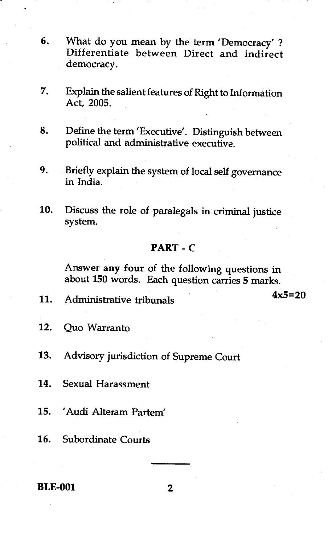- 6. What do you mean by the term 'Democracy' ? Differentiate between Direct and indirect democracy.
- 7. Explain the salient features of Right to Information Act, 2005.
- 8. Define the term 'Executive'. Distinguish between political and administrative executive.
- 9. Briefly explain the system of local self governance in India.
- 10. Discuss the role of paralegals in criminal justice system.

#### **PART - C**

Answer **any four** of the following questions in about **150** words. Each question carries **5** marks.

11. Administrative tribunals **4x5=20** 

- 12. Quo Warranto
- 13. Advisory jurisdiction of Supreme Court
- 14. Sexual Harassment
- 15. 'Audi Alteram Partem
- 16. Subordinate Courts

#### **BLE-001** 2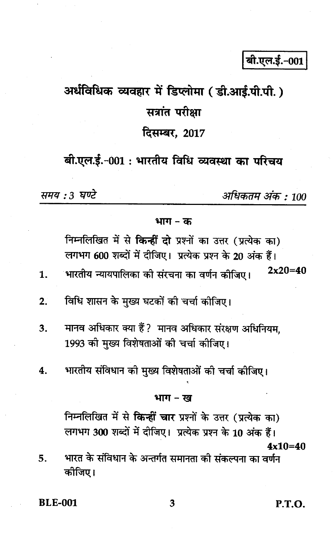# अर्धविधिक व्यवहार में डिप्लोमा (डी.आई.पी.पी.) सत्रांत परीक्षा

# दिसम्बर, 2017

## बी.एल.ई.-001 : भारतीय विधि व्यवस्था का परिचय

समय : 3 घण्टे

 $\mathbf{1}$ 

अधिकतम अंक : 100

#### भाग $-$ क

निम्नलिखित में से किन्हीं दो प्रश्नों का उत्तर (प्रत्येक का) लगभग 600 शब्दों में दीजिए। प्रत्येक प्रश्न के 20 अंक हैं।  $2x20=40$ ंभारतीय न्यायपालिका को संरचना का वर्णन कीजिए।

- विधि शासन के मुख्य घटकों की चर्चा कीजिए।  $2.$
- मानव अधिकार क्या हैं? मानव अधिकार संरक्षण अधिनियम,  $3.$ 1993 की मुख्य विशेषताओं की चर्चा कीजिए।
- भारतीय संविधान को मुख्य विशेषताओं की चर्चा कीजिए।  $\overline{4}$ .

#### भाग – ख

निम्नलिखित में से किन्हीं चार प्रश्नों के उत्तर (प्रत्येक का)

लगभग 300 शब्दों में दीजिए। प्रत्येक प्रश्न के 10 अंक हैं।  $4x10=40$ 

भारत के संविधान के अन्तर्गत समानता की संकल्पना का वर्णन 5. कोजिए।

**BLE-001** 

P.T.O.

3